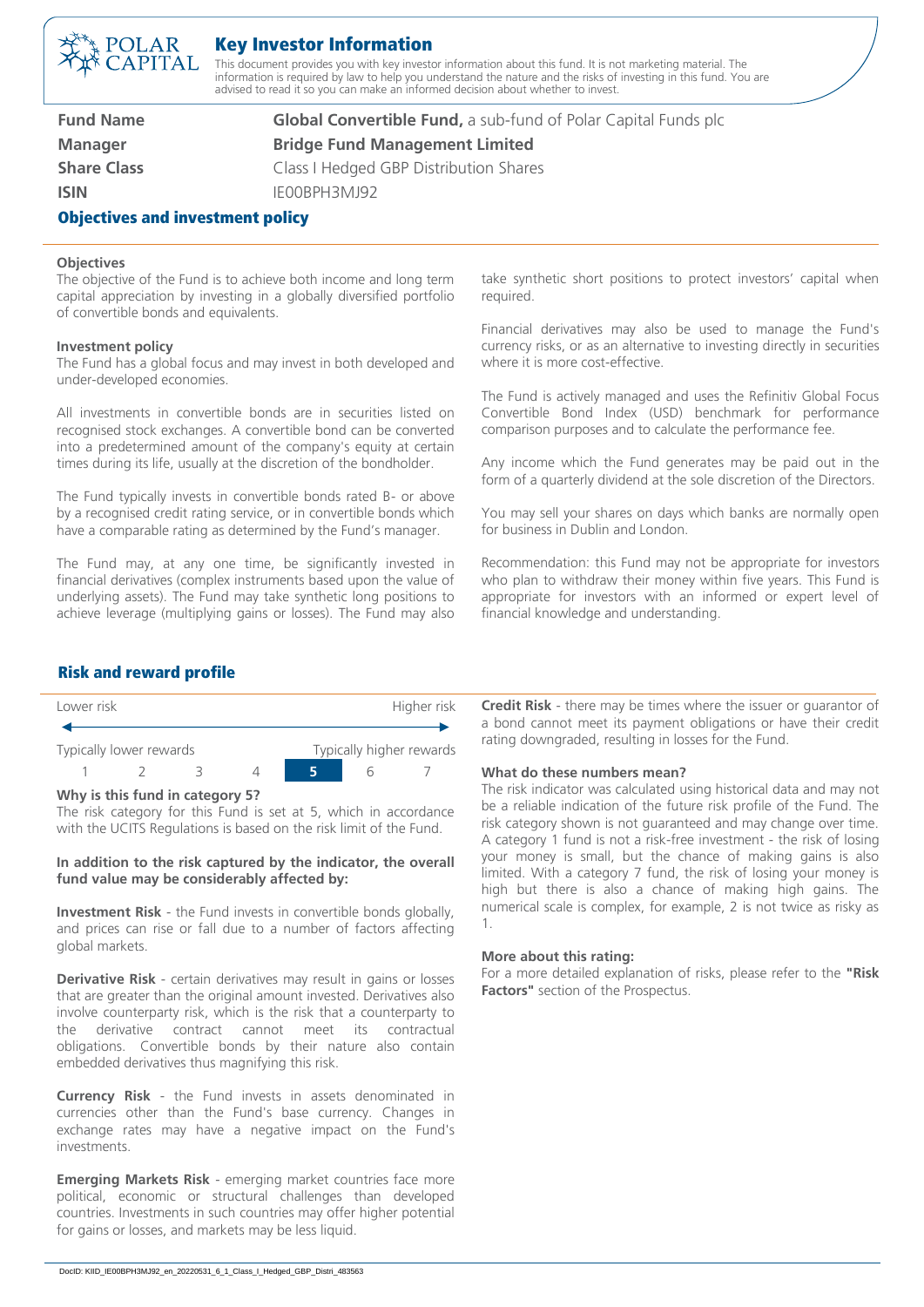# 'OLAR APITAL

## Key Investor Information

This document provides you with key investor information about this fund. It is not marketing material. The information is required by law to help you understand the nature and the risks of investing in this fund. You are advised to read it so you can make an informed decision about whether to invest.

| <b>Fund Name</b>                        | <b>Global Convertible Fund, a sub-fund of Polar Capital Funds plc</b> |
|-----------------------------------------|-----------------------------------------------------------------------|
| <b>Manager</b>                          | <b>Bridge Fund Management Limited</b>                                 |
| <b>Share Class</b>                      | Class I Hedged GBP Distribution Shares                                |
| <b>ISIN</b>                             | IE00BPH3MJ92                                                          |
| <b>Objectives and investment policy</b> |                                                                       |

#### **Objectives**

The objective of the Fund is to achieve both income and long term capital appreciation by investing in a globally diversified portfolio of convertible bonds and equivalents.

#### **Investment policy**

The Fund has a global focus and may invest in both developed and under-developed economies.

All investments in convertible bonds are in securities listed on recognised stock exchanges. A convertible bond can be converted into a predetermined amount of the company's equity at certain times during its life, usually at the discretion of the bondholder.

The Fund typically invests in convertible bonds rated B- or above by a recognised credit rating service, or in convertible bonds which have a comparable rating as determined by the Fund's manager.

The Fund may, at any one time, be significantly invested in financial derivatives (complex instruments based upon the value of underlying assets). The Fund may take synthetic long positions to achieve leverage (multiplying gains or losses). The Fund may also take synthetic short positions to protect investors' capital when required.

Financial derivatives may also be used to manage the Fund's currency risks, or as an alternative to investing directly in securities where it is more cost-effective.

The Fund is actively managed and uses the Refinitiv Global Focus Convertible Bond Index (USD) benchmark for performance comparison purposes and to calculate the performance fee.

Any income which the Fund generates may be paid out in the form of a quarterly dividend at the sole discretion of the Directors.

You may sell your shares on days which banks are normally open for business in Dublin and London.

Recommendation: this Fund may not be appropriate for investors who plan to withdraw their money within five years. This Fund is appropriate for investors with an informed or expert level of financial knowledge and understanding.

### Risk and reward profile



#### **Why is this fund in category 5?**

The risk category for this Fund is set at 5, which in accordance with the UCITS Regulations is based on the risk limit of the Fund.

#### **In addition to the risk captured by the indicator, the overall fund value may be considerably affected by:**

**Investment Risk** - the Fund invests in convertible bonds globally, and prices can rise or fall due to a number of factors affecting global markets.

**Derivative Risk** - certain derivatives may result in gains or losses that are greater than the original amount invested. Derivatives also involve counterparty risk, which is the risk that a counterparty to the derivative contract cannot meet its contractual obligations. Convertible bonds by their nature also contain embedded derivatives thus magnifying this risk.

**Currency Risk** - the Fund invests in assets denominated in currencies other than the Fund's base currency. Changes in exchange rates may have a negative impact on the Fund's investments.

**Emerging Markets Risk** - emerging market countries face more political, economic or structural challenges than developed countries. Investments in such countries may offer higher potential for gains or losses, and markets may be less liquid.

**Credit Risk** - there may be times where the issuer or guarantor of a bond cannot meet its payment obligations or have their credit rating downgraded, resulting in losses for the Fund.

#### **What do these numbers mean?**

The risk indicator was calculated using historical data and may not be a reliable indication of the future risk profile of the Fund. The risk category shown is not guaranteed and may change over time. A category 1 fund is not a risk-free investment - the risk of losing your money is small, but the chance of making gains is also limited. With a category 7 fund, the risk of losing your money is high but there is also a chance of making high gains. The numerical scale is complex, for example, 2 is not twice as risky as 1.

#### **More about this rating:**

For a more detailed explanation of risks, please refer to the **"Risk Factors"** section of the Prospectus.